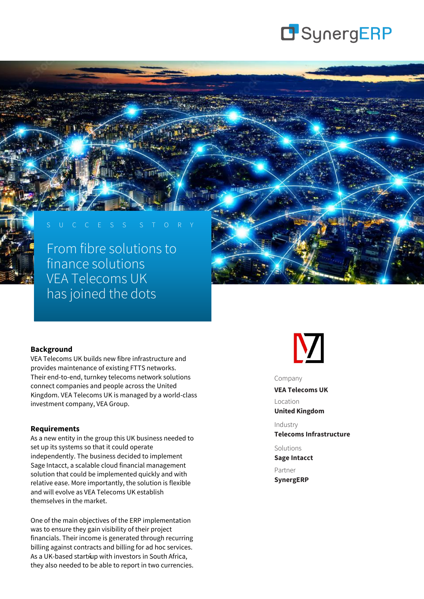

# S U C C E S S S T O R Y

From fibre solutions to finance solutions VEA Telecoms UK has joined the dots

#### **Background**

VEA Telecoms UK builds new fibre infrastructure and provides maintenance of existing FTTS networks. Their end-to-end, turnkey telecoms network solutions connect companies and people across the United Kingdom. VEA Telecoms UK is managed by a world-class investment company, VEA Group.

#### **Requirements**

As a new entity in the group this UK business needed to set up its systems so that it could operate independently. The business decided to implement Sage Intacct, a scalable cloud financial management solution that could be implemented quickly and with relative ease. More importantly, the solution is flexible and will evolve as VEA Telecoms UK establish themselves in the market.

One of the main objectives of the ERP implementation was to ensure they gain visibility of their project financials. Their income is generated through recurring billing against contracts and billing for ad hoc services. As a UK-based startќup with investors in South Africa, they also needed to be able to report in two currencies.



Company

**VEA Telecoms UK**

Location **United Kingdom**

Industry **Telecoms Infrastructure**

Solutions **Sage Intacct**

Partner **SynergERP**